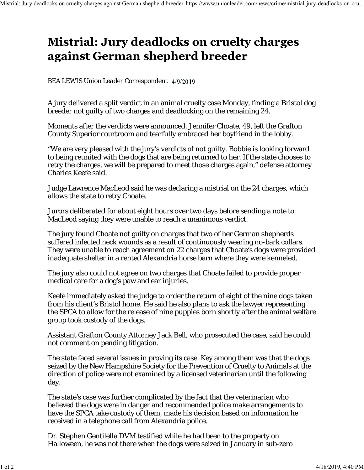## **Mistrial: Jury deadlocks on cruelty charges** against German shepherd breeder

## *BEA LEWIS Union Leader Correspondent*

A jury delivered a split verdict in an animal cruelty case Monday, finding a Bristol dog breeder not guilty of two charges and deadlocking on the remaining 24.

Moments after the verdicts were announced, Jennifer Choate, 49, left the Grafton County Superior courtroom and tearfully embraced her boyfriend in the lobby.

"We are very pleased with the jury's verdicts of not guilty. Bobbie is looking forward to being reunited with the dogs that are being returned to her. If the state chooses to retry the charges, we will be prepared to meet those charges again," defense attorney Charles Keefe said.

Judge Lawrence MacLeod said he was declaring a mistrial on the 24 charges, which allows the state to retry Choate.

Jurors deliberated for about eight hours over two days before sending a note to MacLeod saying they were unable to reach a unanimous verdict.

The jury found Choate not guilty on charges that two of her German shepherds suffered infected neck wounds as a result of continuously wearing no-bark collars. They were unable to reach agreement on 22 charges that Choate's dogs were provided inadequate shelter in a rented Alexandria horse barn where they were kenneled.

The jury also could not agree on two charges that Choate failed to provide proper medical care for a dog's paw and ear injuries.

Keefe immediately asked the judge to order the return of eight of the nine dogs taken from his client's Bristol home. He said he also plans to ask the lawyer representing the SPCA to allow for the release of nine puppies born shortly after the animal welfare group took custody of the dogs.

Assistant Grafton County Attorney Jack Bell, who prosecuted the case, said he could not comment on pending litigation.

The state faced several issues in proving its case. Key among them was that the dogs seized by the New Hampshire Society for the Prevention of Cruelty to Animals at the direction of police were not examined by a licensed veterinarian until the following day.

The state's case was further complicated by the fact that the veterinarian who believed the dogs were in danger and recommended police make arrangements to have the SPCA take custody of them, made his decision based on information he received in a telephone call from Alexandria police.

Dr. Stephen Gentilella DVM testified while he had been to the property on Halloween, he was not there when the dogs were seized in January in sub-zero